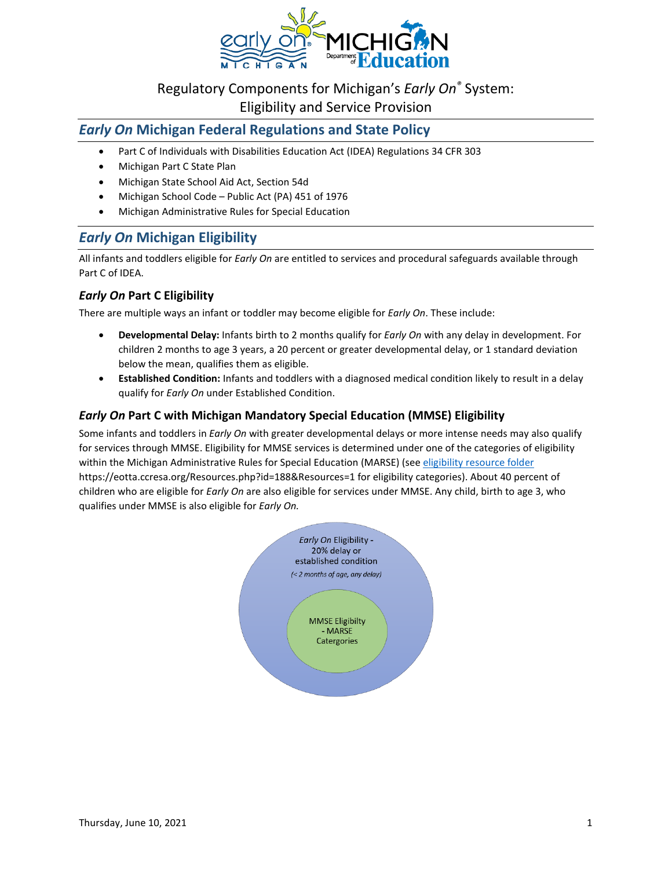

# Regulatory Components for Michigan's *Early On®* System:

Eligibility and Service Provision

# *Early On* **Michigan Federal Regulations and State Policy**

- Part C of Individuals with Disabilities Education Act (IDEA) Regulations 34 CFR 303
- Michigan Part C State Plan
- Michigan State School Aid Act, Section 54d
- Michigan School Code Public Act (PA) 451 of 1976
- Michigan Administrative Rules for Special Education

# *Early On* **Michigan Eligibility**

All infants and toddlers eligible for *Early On* are entitled to services and procedural safeguards available through Part C of IDEA.

# *Early On* **Part C Eligibility**

There are multiple ways an infant or toddler may become eligible for *Early On*. These include:

- **Developmental Delay:** Infants birth to 2 months qualify for *Early On* with any delay in development. For children 2 months to age 3 years, a 20 percent or greater developmental delay, or 1 standard deviation below the mean, qualifies them as eligible.
- **Established Condition:** Infants and toddlers with a diagnosed medical condition likely to result in a delay qualify for *Early On* under Established Condition.

## *Early On* **Part C with Michigan Mandatory Special Education (MMSE) Eligibility**

Some infants and toddlers in *Early On* with greater developmental delays or more intense needs may also qualify for services through MMSE. Eligibility for MMSE services is determined under one of the categories of eligibility within the Michigan Administrative Rules for Special Education (MARSE) (se[e eligibility resource folder](https://eotta.ccresa.org/Resources.php?id=188&Resources=1) https://eotta.ccresa.org/Resources.php?id=188&Resources=1 for eligibility categories). About 40 percent of children who are eligible for *Early On* are also eligible for services under MMSE. Any child, birth to age 3, who qualifies under MMSE is also eligible for *Early On.*

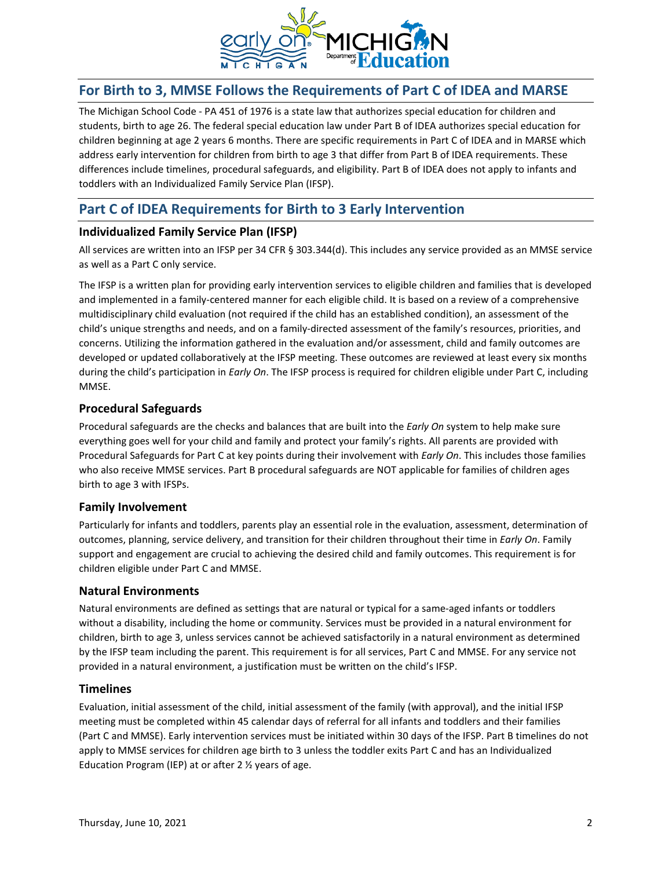

# **For Birth to 3, MMSE Follows the Requirements of Part C of IDEA and MARSE**

The Michigan School Code - PA 451 of 1976 is a state law that authorizes special education for children and students, birth to age 26. The federal special education law under Part B of IDEA authorizes special education for children beginning at age 2 years 6 months. There are specific requirements in Part C of IDEA and in MARSE which address early intervention for children from birth to age 3 that differ from Part B of IDEA requirements. These differences include timelines, procedural safeguards, and eligibility. Part B of IDEA does not apply to infants and toddlers with an Individualized Family Service Plan (IFSP).

# **Part C of IDEA Requirements for Birth to 3 Early Intervention**

### **Individualized Family Service Plan (IFSP)**

All services are written into an IFSP per 34 CFR § 303.344(d). This includes any service provided as an MMSE service as well as a Part C only service.

The IFSP is a written plan for providing early intervention services to eligible children and families that is developed and implemented in a family-centered manner for each eligible child. It is based on a review of a comprehensive multidisciplinary child evaluation (not required if the child has an established condition), an assessment of the child's unique strengths and needs, and on a family-directed assessment of the family's resources, priorities, and concerns. Utilizing the information gathered in the evaluation and/or assessment, child and family outcomes are developed or updated collaboratively at the IFSP meeting. These outcomes are reviewed at least every six months during the child's participation in *Early On*. The IFSP process is required for children eligible under Part C, including MMSE.

## **Procedural Safeguards**

Procedural safeguards are the checks and balances that are built into the *Early On* system to help make sure everything goes well for your child and family and protect your family's rights. All parents are provided with Procedural Safeguards for Part C at key points during their involvement with *Early On*. This includes those families who also receive MMSE services. Part B procedural safeguards are NOT applicable for families of children ages birth to age 3 with IFSPs.

### **Family Involvement**

Particularly for infants and toddlers, parents play an essential role in the evaluation, assessment, determination of outcomes, planning, service delivery, and transition for their children throughout their time in *Early On*. Family support and engagement are crucial to achieving the desired child and family outcomes. This requirement is for children eligible under Part C and MMSE.

### **Natural Environments**

Natural environments are defined as settings that are natural or typical for a same-aged infants or toddlers without a disability, including the home or community. Services must be provided in a natural environment for children, birth to age 3, unless services cannot be achieved satisfactorily in a natural environment as determined by the IFSP team including the parent. This requirement is for all services, Part C and MMSE. For any service not provided in a natural environment, a justification must be written on the child's IFSP.

### **Timelines**

Evaluation, initial assessment of the child, initial assessment of the family (with approval), and the initial IFSP meeting must be completed within 45 calendar days of referral for all infants and toddlers and their families (Part C and MMSE). Early intervention services must be initiated within 30 days of the IFSP. Part B timelines do not apply to MMSE services for children age birth to 3 unless the toddler exits Part C and has an Individualized Education Program (IEP) at or after 2 ½ years of age.